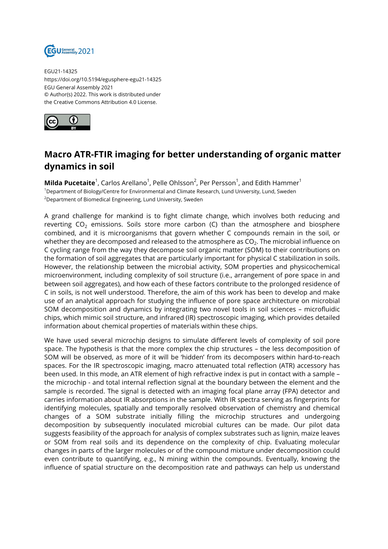

EGU21-14325 https://doi.org/10.5194/egusphere-egu21-14325 EGU General Assembly 2021 © Author(s) 2022. This work is distributed under the Creative Commons Attribution 4.0 License.



## **Macro ATR-FTIR imaging for better understanding of organic matter dynamics in soil**

**Milda Pucetaite**<sup>1</sup>, Carlos Arellano<sup>1</sup>, Pelle Ohlsson<sup>2</sup>, Per Persson<sup>1</sup>, and Edith Hammer<sup>1</sup> <sup>1</sup>Department of Biology/Centre for Environmental and Climate Research, Lund University, Lund, Sweden <sup>2</sup>Department of Biomedical Engineering, Lund University, Sweden

A grand challenge for mankind is to fight climate change, which involves both reducing and reverting  $CO<sub>2</sub>$  emissions. Soils store more carbon (C) than the atmosphere and biosphere combined, and it is microorganisms that govern whether C compounds remain in the soil, or whether they are decomposed and released to the atmosphere as CO $_{2}$ . The microbial influence on C cycling range from the way they decompose soil organic matter (SOM) to their contributions on the formation of soil aggregates that are particularly important for physical C stabilization in soils. However, the relationship between the microbial activity, SOM properties and physicochemical microenvironment, including complexity of soil structure (i.e., arrangement of pore space in and between soil aggregates), and how each of these factors contribute to the prolonged residence of C in soils, is not well understood. Therefore, the aim of this work has been to develop and make use of an analytical approach for studying the influence of pore space architecture on microbial SOM decomposition and dynamics by integrating two novel tools in soil sciences – microfluidic chips, which mimic soil structure, and infrared (IR) spectroscopic imaging, which provides detailed information about chemical properties of materials within these chips.

We have used several microchip designs to simulate different levels of complexity of soil pore space. The hypothesis is that the more complex the chip structures – the less decomposition of SOM will be observed, as more of it will be 'hidden' from its decomposers within hard-to-reach spaces. For the IR spectroscopic imaging, macro attenuated total reflection (ATR) accessory has been used. In this mode, an ATR element of high refractive index is put in contact with a sample – the microchip - and total internal reflection signal at the boundary between the element and the sample is recorded. The signal is detected with an imaging focal plane array (FPA) detector and carries information about IR absorptions in the sample. With IR spectra serving as fingerprints for identifying molecules, spatially and temporally resolved observation of chemistry and chemical changes of a SOM substrate initially filling the microchip structures and undergoing decomposition by subsequently inoculated microbial cultures can be made. Our pilot data suggests feasibility of the approach for analysis of complex substrates such as lignin, maize leaves or SOM from real soils and its dependence on the complexity of chip. Evaluating molecular changes in parts of the larger molecules or of the compound mixture under decomposition could even contribute to quantifying, e.g., N mining within the compounds. Eventually, knowing the influence of spatial structure on the decomposition rate and pathways can help us understand